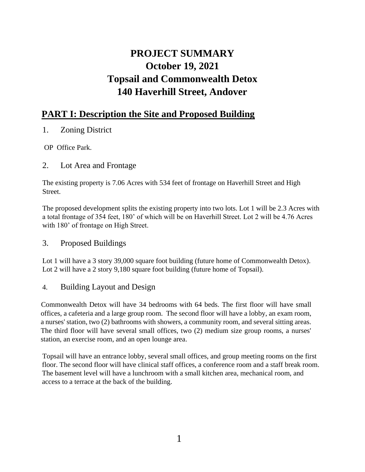# **PROJECT SUMMARY October 19, 2021 Topsail and Commonwealth Detox 140 Haverhill Street, Andover**

# **PART I: Description the Site and Proposed Building**

- 1. Zoning District
- OP Office Park.
- 2. Lot Area and Frontage

The existing property is 7.06 Acres with 534 feet of frontage on Haverhill Street and High Street.

The proposed development splits the existing property into two lots. Lot 1 will be 2.3 Acres with a total frontage of 354 feet, 180' of which will be on Haverhill Street. Lot 2 will be 4.76 Acres with 180' of frontage on High Street.

# 3. Proposed Buildings

Lot 1 will have a 3 story 39,000 square foot building (future home of Commonwealth Detox). Lot 2 will have a 2 story 9,180 square foot building (future home of Topsail).

# 4. Building Layout and Design

Commonwealth Detox will have 34 bedrooms with 64 beds. The first floor will have small offices, a cafeteria and a large group room. The second floor will have a lobby, an exam room, a nurses' station, two (2) bathrooms with showers, a community room, and several sitting areas. The third floor will have several small offices, two (2) medium size group rooms, a nurses' station, an exercise room, and an open lounge area.

Topsail will have an entrance lobby, several small offices, and group meeting rooms on the first floor. The second floor will have clinical staff offices, a conference room and a staff break room. The basement level will have a lunchroom with a small kitchen area, mechanical room, and access to a terrace at the back of the building.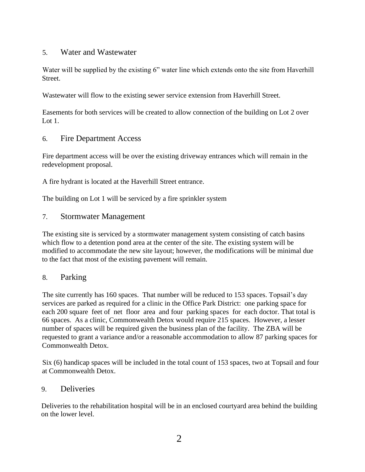#### 5. Water and Wastewater

Water will be supplied by the existing 6" water line which extends onto the site from Haverhill Street.

Wastewater will flow to the existing sewer service extension from Haverhill Street.

Easements for both services will be created to allow connection of the building on Lot 2 over Lot 1.

6. Fire Department Access

Fire department access will be over the existing driveway entrances which will remain in the redevelopment proposal.

A fire hydrant is located at the Haverhill Street entrance.

The building on Lot 1 will be serviced by a fire sprinkler system

#### 7. Stormwater Management

The existing site is serviced by a stormwater management system consisting of catch basins which flow to a detention pond area at the center of the site. The existing system will be modified to accommodate the new site layout; however, the modifications will be minimal due to the fact that most of the existing pavement will remain.

### 8. Parking

The site currently has 160 spaces. That number will be reduced to 153 spaces. Topsail's day services are parked as required for a clinic in the Office Park District: one parking space for each 200 square feet of net floor area and four parking spaces for each doctor. That total is 66 spaces. As a clinic, Commonwealth Detox would require 215 spaces. However, a lesser number of spaces will be required given the business plan of the facility. The ZBA will be requested to grant a variance and/or a reasonable accommodation to allow 87 parking spaces for Commonwealth Detox.

Six (6) handicap spaces will be included in the total count of 153 spaces, two at Topsail and four at Commonwealth Detox.

### 9. Deliveries

Deliveries to the rehabilitation hospital will be in an enclosed courtyard area behind the building on the lower level.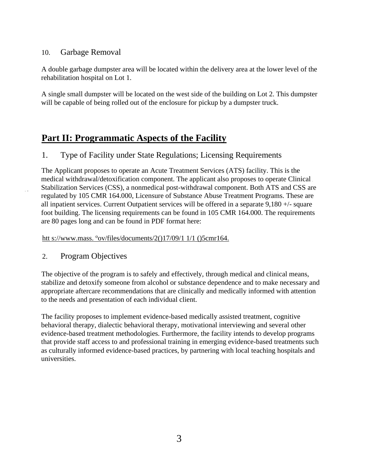### 10. Garbage Removal

A double garbage dumpster area will be located within the delivery area at the lower level of the rehabilitation hospital on Lot 1.

A single small dumpster will be located on the west side of the building on Lot 2. This dumpster will be capable of being rolled out of the enclosure for pickup by a dumpster truck.

# **Part II: Programmatic Aspects of the Facility**

# 1. Type of Facility under State Regulations; Licensing Requirements

The Applicant proposes to operate an Acute Treatment Services (ATS) facility. This is the medical withdrawal/detoxification component. The applicant also proposes to operate Clinical Stabilization Services (CSS), a nonmedical post-withdrawal component. Both ATS and CSS are regulated by 105 CMR 164.000, Licensure of Substance Abuse Treatment Programs. These are all inpatient services. Current Outpatient services will be offered in a separate 9,180 +/- square foot building. The licensing requirements can be found in 105 CMR 164.000. The requirements are 80 pages long and can be found in PDF format here:

htt s://www.mass. °ov/files/documents/2()17/09/1 1/1 ()5cmr164.

2. Program Objectives

The objective of the program is to safely and effectively, through medical and clinical means, stabilize and detoxify someone from alcohol or substance dependence and to make necessary and appropriate aftercare recommendations that are clinically and medically informed with attention to the needs and presentation of each individual client.

The facility proposes to implement evidence-based medically assisted treatment, cognitive behavioral therapy, dialectic behavioral therapy, motivational interviewing and several other evidence-based treatment methodologies. Furthermore, the facility intends to develop programs that provide staff access to and professional training in emerging evidence-based treatments such as culturally informed evidence-based practices, by partnering with local teaching hospitals and universities.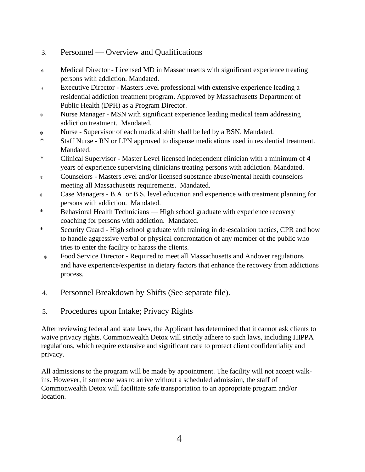- 3. Personnel Overview and Qualifications
- Medical Director Licensed MD in Massachusetts with significant experience treating persons with addiction. Mandated.
- Executive Director Masters level professional with extensive experience leading a  $\frac{1}{2}$ residential addiction treatment program. Approved by Massachusetts Department of Public Health (DPH) as a Program Director.
- Nurse Manager MSN with significant experience leading medical team addressing  $\frac{1}{2}$ addiction treatment. Mandated.
- Nurse Supervisor of each medical shift shall be led by a BSN. Mandated. sk.
- \* Staff Nurse RN or LPN approved to dispense medications used in residential treatment. Mandated.
- \* Clinical Supervisor Master Level licensed independent clinician with a minimum of 4 years of experience supervising clinicians treating persons with addiction. Mandated.
- Counselors Masters level and/or licensed substance abuse/mental health counselors sk. meeting all Massachusetts requirements. Mandated.
- Case Managers B.A. or B.S. level education and experience with treatment planning for  $\mathcal{L}$ persons with addiction. Mandated.
- \* Behavioral Health Technicians High school graduate with experience recovery coaching for persons with addiction. Mandated.
- \* Security Guard High school graduate with training in de-escalation tactics, CPR and how to handle aggressive verbal or physical confrontation of any member of the public who tries to enter the facility or harass the clients.
- Food Service Director Required to meet all Massachusetts and Andover regulations  $\ast$ and have experience/expertise in dietary factors that enhance the recovery from addictions process.
- 4. Personnel Breakdown by Shifts (See separate file).
- 5. Procedures upon Intake; Privacy Rights

After reviewing federal and state laws, the Applicant has determined that it cannot ask clients to waive privacy rights. Commonwealth Detox will strictly adhere to such laws, including HIPPA regulations, which require extensive and significant care to protect client confidentiality and privacy.

All admissions to the program will be made by appointment. The facility will not accept walkins. However, if someone was to arrive without a scheduled admission, the staff of Commonwealth Detox will facilitate safe transportation to an appropriate program and/or location.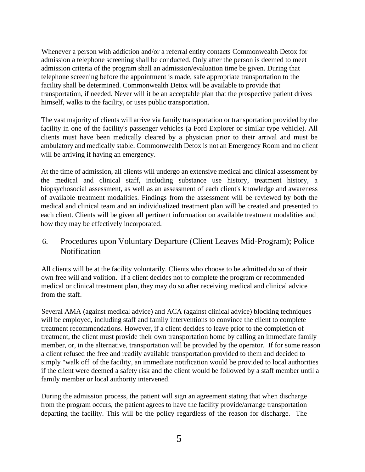Whenever a person with addiction and/or a referral entity contacts Commonwealth Detox for admission a telephone screening shall be conducted. Only after the person is deemed to meet admission criteria of the program shall an admission/evaluation time be given. During that telephone screening before the appointment is made, safe appropriate transportation to the facility shall be determined. Commonwealth Detox will be available to provide that transportation, if needed. Never will it be an acceptable plan that the prospective patient drives himself, walks to the facility, or uses public transportation.

The vast majority of clients will arrive via family transportation or transportation provided by the facility in one of the facility's passenger vehicles (a Ford Explorer or similar type vehicle). All clients must have been medically cleared by a physician prior to their arrival and must be ambulatory and medically stable. Commonwealth Detox is not an Emergency Room and no client will be arriving if having an emergency.

At the time of admission, all clients will undergo an extensive medical and clinical assessment by the medical and clinical staff, including substance use history, treatment history, a biopsychosocial assessment, as well as an assessment of each client's knowledge and awareness of available treatment modalities. Findings from the assessment will be reviewed by both the medical and clinical team and an individualized treatment plan will be created and presented to each client. Clients will be given all pertinent information on available treatment modalities and how they may be effectively incorporated.

# 6. Procedures upon Voluntary Departure (Client Leaves Mid-Program); Police **Notification**

All clients will be at the facility voluntarily. Clients who choose to be admitted do so of their own free will and volition. If a client decides not to complete the program or recommended medical or clinical treatment plan, they may do so after receiving medical and clinical advice from the staff.

Several AMA (against medical advice) and ACA (against clinical advice) blocking techniques will be employed, including staff and family interventions to convince the client to complete treatment recommendations. However, if a client decides to leave prior to the completion of treatment, the client must provide their own transportation home by calling an immediate family member, or, in the alternative, transportation will be provided by the operator. If for some reason a client refused the free and readily available transportation provided to them and decided to simply "walk off' of the facility, an immediate notification would be provided to local authorities if the client were deemed a safety risk and the client would be followed by a staff member until a family member or local authority intervened.

During the admission process, the patient will sign an agreement stating that when discharge from the program occurs, the patient agrees to have the facility provide/arrange transportation departing the facility. This will be the policy regardless of the reason for discharge. The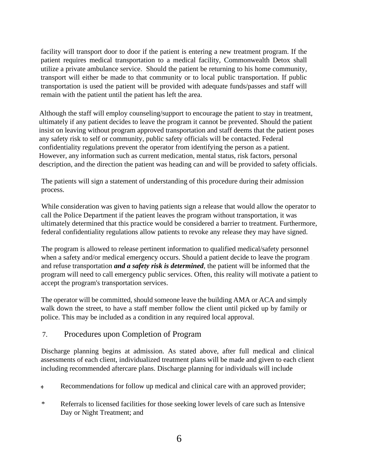facility will transport door to door if the patient is entering a new treatment program. If the patient requires medical transportation to a medical facility, Commonwealth Detox shall utilize a private ambulance service. Should the patient be returning to his home community, transport will either be made to that community or to local public transportation. If public transportation is used the patient will be provided with adequate funds/passes and staff will remain with the patient until the patient has left the area.

Although the staff will employ counseling/support to encourage the patient to stay in treatment, ultimately if any patient decides to leave the program it cannot be prevented. Should the patient insist on leaving without program approved transportation and staff deems that the patient poses any safety risk to self or community, public safety officials will be contacted. Federal confidentiality regulations prevent the operator from identifying the person as a patient. However, any information such as current medication, mental status, risk factors, personal description, and the direction the patient was heading can and will be provided to safety officials.

The patients will sign a statement of understanding of this procedure during their admission process.

While consideration was given to having patients sign a release that would allow the operator to call the Police Department if the patient leaves the program without transportation, it was ultimately determined that this practice would be considered a barrier to treatment. Furthermore, federal confidentiality regulations allow patients to revoke any release they may have signed.

The program is allowed to release pertinent information to qualified medical/safety personnel when a safety and/or medical emergency occurs. Should a patient decide to leave the program and refuse transportation *and a safety risk is determined*, the patient will be informed that the program will need to call emergency public services. Often, this reality will motivate a patient to accept the program's transportation services.

The operator will be committed, should someone leave the building AMA or ACA and simply walk down the street, to have a staff member follow the client until picked up by family or police. This may be included as a condition in any required local approval.

### 7. Procedures upon Completion of Program

Discharge planning begins at admission. As stated above, after full medical and clinical assessments of each client, individualized treatment plans will be made and given to each client including recommended aftercare plans. Discharge planning for individuals will include

- Recommendations for follow up medical and clinical care with an approved provider;  $\ast$
- \* Referrals to licensed facilities for those seeking lower levels of care such as Intensive Day or Night Treatment; and